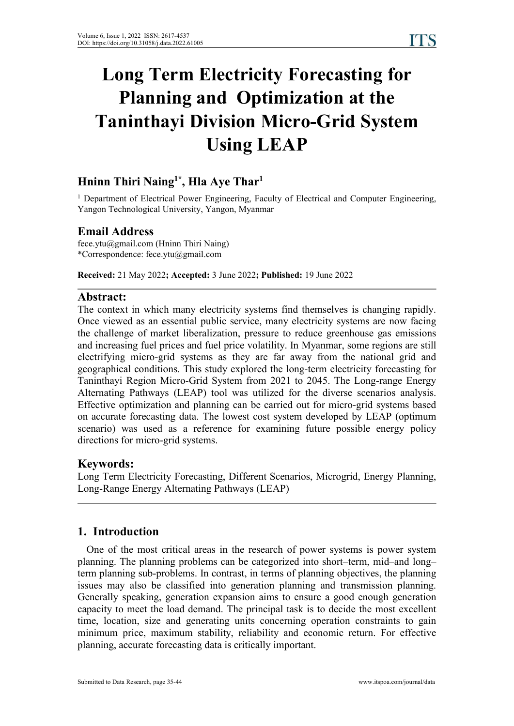# **Long Term Electricity Forecasting for Planning and Optimization at the Taninthayi Division Micro-Grid System Using LEAP**

#### **Hninn Thiri Naing 1\* , Hla Aye Thar 1**

<sup>1</sup> Department of Electrical Power Engineering, Faculty of Electrical and Computer Engineering, Yangon Technological University, Yangon, Myanmar

### **Email Address**

fece.ytu@gmail.com (Hninn Thiri Naing) \*Correspondence: fece.ytu@gmail.com

**Received:** 21 May 2022**; Accepted:** 3 June 2022**; Published:** 19 June 2022

#### **Abstract:**

The context in which many electricity systems find themselves is changing rapidly. Once viewed as an essential public service, many electricity systems are now facing the challenge of market liberalization, pressure to reduce greenhouse gas emissions and increasing fuel prices and fuel price volatility. In Myanmar, some regions are still electrifying micro-grid systems as they are far away from the national grid and geographical conditions. This study explored the long-term electricity forecasting for Taninthayi Region Micro-Grid System from 2021 to 2045. The Long-range Energy Alternating Pathways (LEAP) tool was utilized for the diverse scenarios analysis. Effective optimization and planning can be carried out formicro-grid systems based on accurate forecasting data. The lowest cost system developed by LEAP (optimum scenario) was used as a reference for examining future possible energy policy directions for micro-grid systems.

### **Keywords:**

Long Term Electricity Forecasting, Different Scenarios, Microgrid, Energy Planning, Long-Range Energy Alternating Pathways (LEAP)

### **1. Introduction**

One of the most critical areas in the research of power systems is power system planning. The planning problems can be categorized into short–term, mid–and long– term planning sub-problems. In contrast, in terms of planning objectives, the planning issues may also be classified into generation planning and transmission planning. Generally speaking, generation expansion aims to ensure a good enough generation capacity to meet the load demand. The principal task is to decide the most excellent time, location, size and generating units concerning operation constraints to gain minimum price, maximum stability, reliability and economic return. For effective planning, accurate forecasting data is critically important.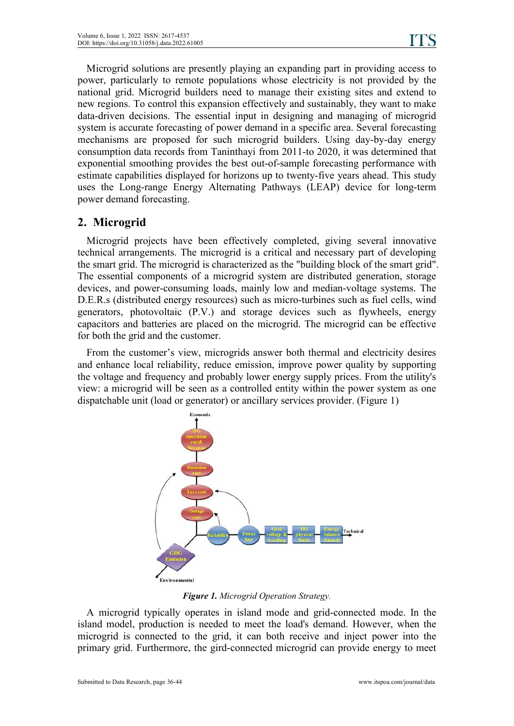Microgrid solutions are presently playing an expanding part in providing access to power, particularly to remote populations whose electricity is not provided by the national grid. Microgrid builders need to manage their existing sites and extend to new regions. To control this expansion effectively and sustainably, they want to make data-driven decisions. The essential input in designing and managing of microgrid system is accurate forecasting of power demand in a specific area. Several forecasting mechanisms are proposed for such microgrid builders. Using day-by-day energy consumption data records from Taninthayi from 2011-to 2020, it was determined that exponential smoothing provides the best out-of-sample forecasting performance with estimate capabilities displayed for horizons up to twenty-five years ahead. This study uses the Long-range Energy Alternating Pathways (LEAP) device for long-term power demand forecasting.

### **2. Microgrid**

Microgrid projects have been effectively completed, giving several innovative technical arrangements. The microgrid is a critical and necessary part of developing the smart grid. The microgrid is characterized as the "building block of the smart grid". The essential components of a microgrid system are distributed generation, storage devices, and power-consuming loads, mainly low and median-voltage systems. The D.E.R.s (distributed energy resources) such as micro-turbines such as fuel cells, wind generators, photovoltaic (P.V.) and storage devices such as flywheels, energy capacitors and batteries are placed on the microgrid. The microgrid can be effective for both the grid and the customer.

From the customer's view, microgrids answer both thermal and electricity desires and enhance local reliability, reduce emission, improve power quality by supporting the voltage and frequency and probably lower energy supply prices. From the utility's view: a microgrid will be seen as a controlled entity within the power system as one dispatchable unit (load or generator) or ancillary services provider. (Figure 1)



*Figure 1. Microgrid Operation Strategy.*

A microgrid typically operates in island mode and grid-connected mode. In the island model, production is needed to meet the load's demand. However, when the microgrid is connected to the grid, it can both receive and inject power into the primary grid. Furthermore, the gird-connected microgrid can provide energy to meet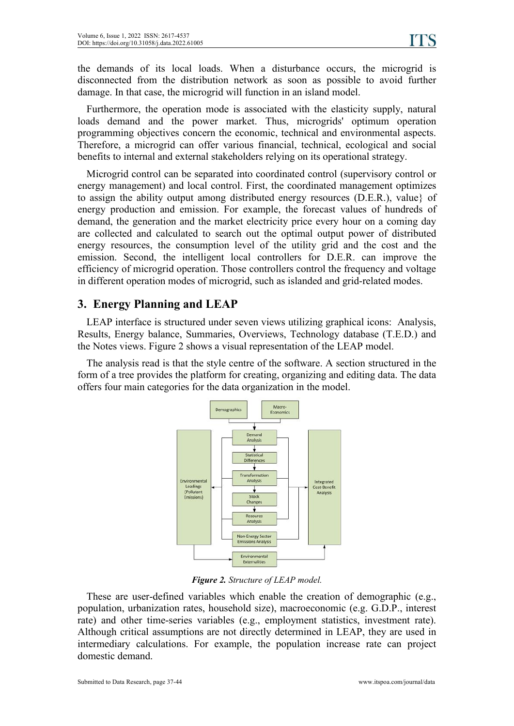the demands of its local loads. When adisturbance occurs, the microgrid is disconnected from the distribution network as soon as possible to avoid further damage. In that case, the microgrid will function in an island model.

Furthermore, the operation mode is associated with the elasticity supply, natural loads demand and the power market. Thus, microgrids' optimum operation programming objectives concern the economic, technical and environmental aspects. Therefore, a microgrid can offer various financial, technical, ecological and social benefits to internal and external stakeholders relying on its operational strategy.

Microgrid control can be separated into coordinated control (supervisory control or energy management) and local control. First, the coordinated management optimizes to assign the ability output among distributed energy resources (D.E.R.), value} of energy production and emission. For example, the forecast values of hundreds of demand, the generation and the market electricity price every hour on a coming day are collected and calculated to search out the optimal output power of distributed energy resources, the consumption level of the utility grid and the cost and the emission. Second, the intelligent local controllers for D.E.R. can improve the efficiency of microgrid operation. Those controllers control the frequency and voltage in different operation modes of microgrid, such as islanded and grid-related modes.

## **3. Energy Planning and LEAP**

LEAP interface is structured under seven views utilizing graphical icons: Analysis, Results, Energy balance, Summaries, Overviews, Technology database (T.E.D.) and the Notes views. Figure 2 shows a visual representation of the LEAP model.

The analysis read is that the style centre of the software. A section structured in the form of a tree provides the platform for creating, organizing and editing data. The data offers four main categories for the data organization in the model.



*Figure 2. Structure of LEAP model.*

These are user-defined variables which enable the creation of demographic (e.g., population, urbanization rates, household size), macroeconomic (e.g. G.D.P., interest rate) and other time-series variables (e.g., employment statistics, investment rate). Although critical assumptions are not directly determined in LEAP, they are used in intermediary calculations. For example, the population increase rate can project domestic demand.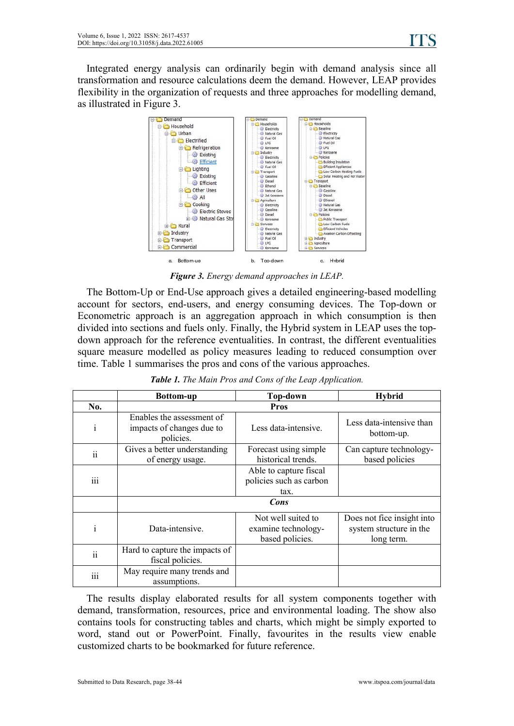Integrated energy analysis can ordinarily begin with demand analysis since all transformation and resource calculations deem the demand.However, LEAP provides flexibility in the organization of requests and three approaches for modelling demand,



*Figure 3. Energy demand approaches in LEAP.*

The Bottom-Up or End-Use approach gives a detailed engineering-based modelling account for sectors, end-users, and energy consuming devices. The Top-down or Econometric approach is an aggregation approach in which consumption is then divided into sections and fuels only. Finally, the Hybrid system in LEAP uses the top down approach for the reference eventualities. In contrast, the different eventualities square measure modelled as policy measures leading to reduced consumption over time. Table 1 summarises the pros and cons of the various approaches.

|                 | <b>Bottom-up</b>                                                    | <b>Top-down</b>                                              | <b>Hybrid</b>                                                       |  |  |  |  |  |
|-----------------|---------------------------------------------------------------------|--------------------------------------------------------------|---------------------------------------------------------------------|--|--|--|--|--|
| No.             | Pros                                                                |                                                              |                                                                     |  |  |  |  |  |
| $\mathbf{i}$    | Enables the assessment of<br>impacts of changes due to<br>policies. | Less data-intensive.                                         | Less data-intensive than<br>bottom-up.                              |  |  |  |  |  |
| $\ddot{\rm n}$  | Gives a better understanding<br>of energy usage.                    | Forecast using simple<br>historical trends.                  | Can capture technology-<br>based policies                           |  |  |  |  |  |
| iii             |                                                                     | Able to capture fiscal<br>policies such as carbon<br>tax.    |                                                                     |  |  |  |  |  |
|                 |                                                                     | Cons                                                         |                                                                     |  |  |  |  |  |
|                 | Data-intensive.                                                     | Not well suited to<br>examine technology-<br>based policies. | Does not fice insight into<br>system structure in the<br>long term. |  |  |  |  |  |
| $\ddot{\rm ii}$ | Hard to capture the impacts of<br>fiscal policies.                  |                                                              |                                                                     |  |  |  |  |  |
| iii             | May require many trends and<br>assumptions.                         |                                                              |                                                                     |  |  |  |  |  |

*Table 1. The Main Pros and Cons of the Leap Application.*

The results display elaborated results for all system components together with demand, transformation, resources, price and environmental loading. The show also contains tools for constructing tables and charts, which might be simply exported to word, stand out or PowerPoint. Finally, favourites in the results view enable customized charts to be bookmarked for future reference.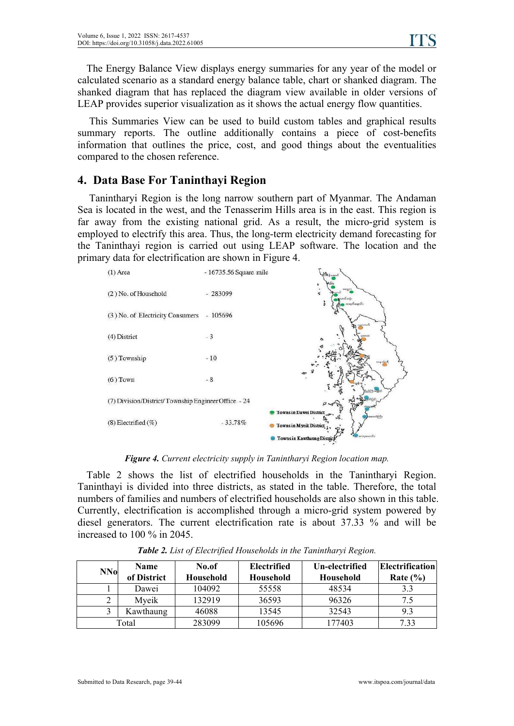The Energy Balance View displays energy summaries for any year of the model or calculated scenario as a standard energy balance table, chart or shanked diagram. The shanked diagram that has replaced the diagram view available in older versions of LEAP provides superior visualization as it shows the actual energy flow quantities.

This Summaries View can be used to build custom tables and graphical results summary reports. The outline additionally contains a piece of cost-benefits information that outlines the price, cost, and good things about the eventualities compared to the chosen reference.

### **4. Data Base For Taninthayi Region**

Tanintharyi Region is the long narrow southern part of Myanmar. The Andaman Sea is located in the west, and the Tenasserim Hills area is in the east. This region is far away from the existing national grid. As a result, the micro-grid system is employed to electrify this area. Thus, the long-term electricity demand forecasting for the Taninthayi region is carried out using LEAP software. The location and the primary data for electrification are shown in Figure 4.



*Figure 4. Current electricity supply in Tanintharyi Region location map.*

Table 2 shows the list of electrified households in the Tanintharyi Region. Taninthayi is divided into three districts, as stated in the table. Therefore, the total numbers of families and numbers of electrified households are also shown in this table. Currently, electrification is accomplished through a micro-grid system powered by diesel generators. The current electrification rate is about 37.33 % and will be increased to 100 % in 2045.

| <b>NNo</b> | <b>Name</b><br>of District | No.of<br>Household | Electrified<br>Household | Electrification <br>Un-electrified<br>Household |      |
|------------|----------------------------|--------------------|--------------------------|-------------------------------------------------|------|
|            | Dawei                      | 104092             | 55558                    | 48534                                           | 3.3  |
|            | Myeik                      | 132919             | 36593                    | 96326                                           | 7.5  |
|            | Kawthaung                  | 46088              | 13545                    | 32543                                           | 9.3  |
|            | Total                      | 283099             | 105696                   | 177403                                          | 7.33 |

*Table 2. List of Electrified Households in the Tanintharyi Region.*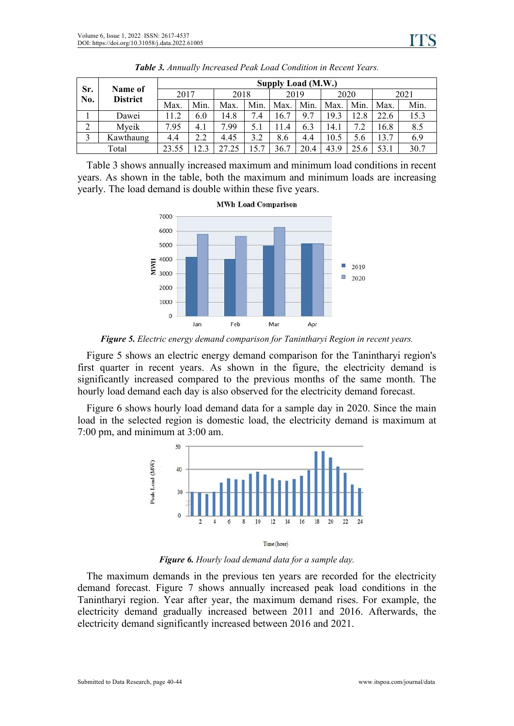|            | Name of<br><b>District</b> | Supply Load (M.W.) |      |       |               |      |      |      |      |      |      |
|------------|----------------------------|--------------------|------|-------|---------------|------|------|------|------|------|------|
| Sr.<br>No. |                            | 2017               |      | 2018  |               | 2019 |      | 2020 |      | 2021 |      |
|            |                            | Max.               | Min. | Max.  | Min.          | Max. | Min. | Max. | Min. | Max. | Min. |
|            | Dawei                      | 11.2               | 6.0  | 14.8  | 7.4           | 16.7 | 9.7  | 19.3 | 12.8 | 22.6 | 15.3 |
| ◠<br>∠     | Myeik                      | 7.95               | 4.1  | 7.99  |               | 1.4  | 6.3  | 14.1 | ⇁    | 16.8 | 8.5  |
| $\sim$     | Kawthaung                  | 4.4                | 2.2  | 4.45  | 3.2           | 8.6  | 4.4  | 10.5 | 5.6  | 13.7 | 6.9  |
| Total      |                            | 23.55              | 12.3 | 27.25 | $\mathcal{L}$ | 36.7 | 20.4 | 43.9 | 25.6 | 53.1 | 30.7 |

*Table 3. Annually Increased Peak Load Condition in Recent Years.*

Table 3 shows annually increased maximum and minimum load conditions in recent years. As shown in the table, both the maximum and minimum loads are increasing yearly. The load demand is double within these five years.



*Figure 5. Electric energy demand comparison for Tanintharyi Region in recent years.*

Figure 5 shows an electric energy demand comparison for the Tanintharyi region's first quarter in recent years. As shown in the figure, the electricity demand is significantly increased compared to the previous months of the same month. The hourly load demand each day is also observed for the electricity demand forecast.

Figure 6 shows hourly load demand data for a sample day in 2020. Since the main load in the selected region is domestic load, the electricity demand is maximum at 7:00 pm, and minimum at 3:00 am.



*Figure 6. Hourly load demand data for a sample day.*

The maximum demands in the previous ten years are recorded for the electricity demand forecast. Figure 7 shows annually increased peak load conditions in the Tanintharyi region. Year after year, the maximum demand rises. For example, the electricity demand gradually increased between 2011 and 2016. Afterwards, the electricity demand significantly increased between 2016 and 2021.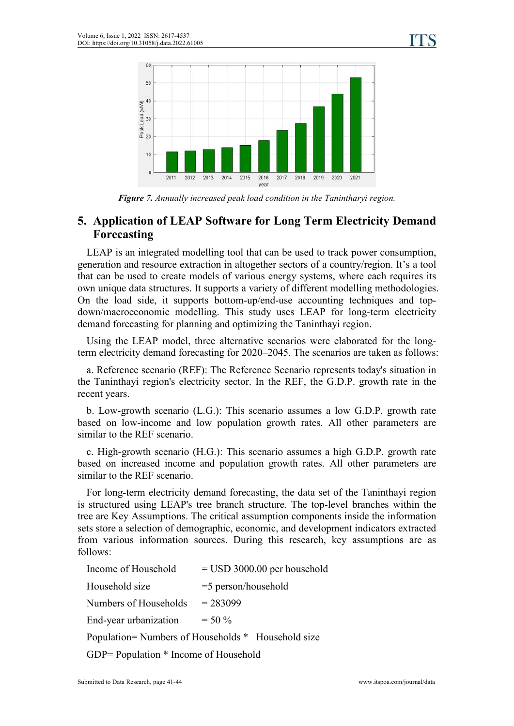

*Figure 7. Annually increased peak load condition in the Tanintharyi region.*

# **5. Application of LEAP Software for Long Term Electricity Demand Forecasting**

LEAP is an integrated modelling tool that can be used to track power consumption, generation and resource extraction in altogether sectors of a country/region. It's a tool that can be used to create models of various energy systems, where each requires its own unique data structures. It supports a variety of different modelling methodologies. On the load side, it supports bottom-up/end-use accounting techniques and top down/macroeconomic modelling. This study uses LEAP for long-term electricity demand forecasting for planning and optimizing the Taninthayi region.

Using the LEAP model, three alternative scenarios were elaborated for the longterm electricity demand forecasting for 2020–2045. The scenarios are taken as follows:

a. Reference scenario (REF): The Reference Scenario represents today's situation in the Taninthayi region's electricity sector. In the REF, the G.D.P. growth rate in the recent years.

b. Low-growth scenario (L.G.): This scenario assumes a low G.D.P. growth rate based on low-income and low population growth rates. All other parameters are similar to the REF scenario.

c. High-growth scenario (H.G.): This scenario assumes a high G.D.P. growth rate based on increased income and population growth rates. All other parameters are similar to the REF scenario.

For long-term electricity demand forecasting, the data set of the Taninthayi region is structured using LEAP's tree branch structure. The top-level branches within the tree are Key Assumptions. The critical assumption components inside the information sets store a selection of demographic, economic, and development indicators extracted from various information sources. During this research, key assumptions are as follows:

| Income of Household                   | $=$ USD 3000.00 per household                      |
|---------------------------------------|----------------------------------------------------|
| Household size                        | $=$ 5 person/household                             |
| Numbers of Households                 | $= 283099$                                         |
| End-year urbanization                 | $=$ 50 %                                           |
|                                       | Population= Numbers of Households * Household size |
| GDP= Population * Income of Household |                                                    |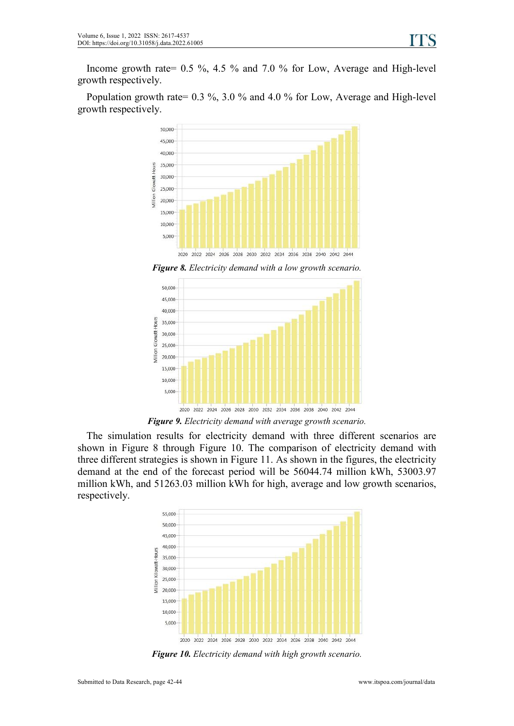Income growth rate= 0.5 %, 4.5 % and 7.0 % for Low, Average and High-level growth respectively.

Population growth rate= 0.3 %, 3.0 % and 4.0 % for Low, Average and High-level growth respectively.



*Figure* 8. *Electricity demand* with *a* low growth scenario.



*Figure 9. Electricity demand with average growth scenario.*

The simulation results for electricity demand with three different scenarios are shown in Figure 8 through Figure 10. The comparison of electricity demand with three different strategies is shown in Figure 11. As shown in the figures, the electricity demand at the end of the forecast period will be 56044.74 million kWh, 53003.97 million kWh, and 51263.03 million kWh for high, average and low growth scenarios, respectively.



*Figure 10. Electricity demand with high growth scenario.*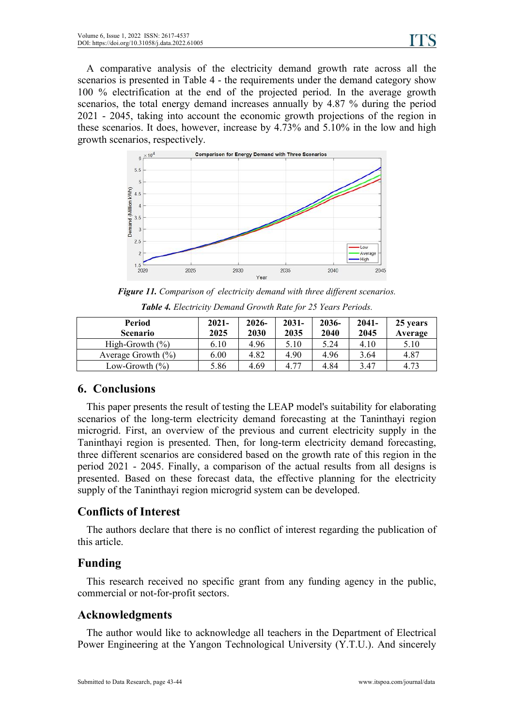A comparative analysis of the electricity demand growth rate across all the scenarios is presented in Table 4 - the requirements under the demand category show 100 % electrification at the end of the projected period. In the average growth scenarios, the total energy demand increases annually by 4.87 % during the period 2021 - 2045, taking into account the economic growth projections of the region in these scenarios. It does, however, increase by 4.73% and 5.10% in the low and high growth scenarios, respectively.



*Figure 11. Comparison of electricity demand with three dif erent scenarios.*

| Period                 | $2021 -$ | $2026 -$ | $2031 -$ | 2036- | $2041 -$ | 25 years |
|------------------------|----------|----------|----------|-------|----------|----------|
| <b>Scenario</b>        | 2025     | 2030     | 2035     | 2040  | 2045     | Average  |
| High-Growth $(\%)$     | 6.10     | 4.96     | 5.10     | 5.24  | 4.10     | 5.10     |
| Average Growth $(\% )$ | 6.00     | 4.82     | 4.90     | 4.96  | 3.64     | 4.87     |
| Low-Growth $(\% )$     | 5.86     | 4.69     | 4.77     | 4.84  | 3.47     | 4.73     |

*Table 4. Electricity Demand Growth Rate for 25 Years Periods.*

# **6. Conclusions**

This paper presents the result of testing the LEAP model's suitability for elaborating scenarios of the long-term electricity demand forecasting at the Taninthayi region microgrid. First, an overview of the previous and current electricity supply in the Taninthayi region is presented. Then, for long-term electricity demand forecasting, three different scenarios are considered based on the growth rate of this region in the period 2021 -2045. Finally, a comparison of the actual results from all designs is presented. Based on these forecast data, the effective planning for the electricity supply of the Taninthayi region microgrid system can be developed.

# **Conflicts of Interest**

The authors declare that there is no conflict of interest regarding the publication of this article.

# **Funding**

This research received no specific grant from any funding agency in the public, commercial or not-for-profit sectors.

### **Acknowledgments**

The author would like to acknowledge all teachers in the Department of Electrical Power Engineering at the Yangon Technological University (Y.T.U.). And sincerely